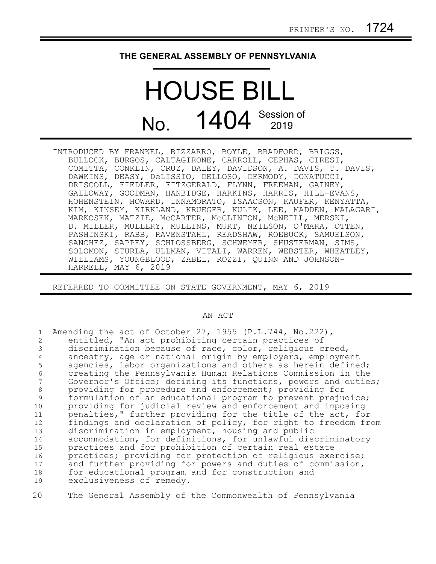## **THE GENERAL ASSEMBLY OF PENNSYLVANIA**

## HOUSE BILL No. 1404 Session of

INTRODUCED BY FRANKEL, BIZZARRO, BOYLE, BRADFORD, BRIGGS, BULLOCK, BURGOS, CALTAGIRONE, CARROLL, CEPHAS, CIRESI, COMITTA, CONKLIN, CRUZ, DALEY, DAVIDSON, A. DAVIS, T. DAVIS, DAWKINS, DEASY, DeLISSIO, DELLOSO, DERMODY, DONATUCCI, DRISCOLL, FIEDLER, FITZGERALD, FLYNN, FREEMAN, GAINEY, GALLOWAY, GOODMAN, HANBIDGE, HARKINS, HARRIS, HILL-EVANS, HOHENSTEIN, HOWARD, INNAMORATO, ISAACSON, KAUFER, KENYATTA, KIM, KINSEY, KIRKLAND, KRUEGER, KULIK, LEE, MADDEN, MALAGARI, MARKOSEK, MATZIE, McCARTER, McCLINTON, McNEILL, MERSKI, D. MILLER, MULLERY, MULLINS, MURT, NEILSON, O'MARA, OTTEN, PASHINSKI, RABB, RAVENSTAHL, READSHAW, ROEBUCK, SAMUELSON, SANCHEZ, SAPPEY, SCHLOSSBERG, SCHWEYER, SHUSTERMAN, SIMS, SOLOMON, STURLA, ULLMAN, VITALI, WARREN, WEBSTER, WHEATLEY, WILLIAMS, YOUNGBLOOD, ZABEL, ROZZI, QUINN AND JOHNSON-HARRELL, MAY 6, 2019

REFERRED TO COMMITTEE ON STATE GOVERNMENT, MAY 6, 2019

## AN ACT

| 2<br>3<br>4<br>5<br>6 | Amending the act of October 27, 1955 (P.L.744, No.222),<br>entitled, "An act prohibiting certain practices of<br>discrimination because of race, color, religious creed,<br>ancestry, age or national origin by employers, employment<br>agencies, labor organizations and others as herein defined;<br>creating the Pennsylvania Human Relations Commission in the |
|-----------------------|---------------------------------------------------------------------------------------------------------------------------------------------------------------------------------------------------------------------------------------------------------------------------------------------------------------------------------------------------------------------|
| 8                     | Governor's Office; defining its functions, powers and duties;<br>providing for procedure and enforcement; providing for                                                                                                                                                                                                                                             |
| 9                     | formulation of an educational program to prevent prejudice;                                                                                                                                                                                                                                                                                                         |
| 10                    | providing for judicial review and enforcement and imposing                                                                                                                                                                                                                                                                                                          |
| 11                    | penalties," further providing for the title of the act, for                                                                                                                                                                                                                                                                                                         |
| 12                    | findings and declaration of policy, for right to freedom from                                                                                                                                                                                                                                                                                                       |
| 13                    | discrimination in employment, housing and public                                                                                                                                                                                                                                                                                                                    |
| 14                    | accommodation, for definitions, for unlawful discriminatory                                                                                                                                                                                                                                                                                                         |
| 15                    | practices and for prohibition of certain real estate                                                                                                                                                                                                                                                                                                                |
| 16                    | practices; providing for protection of religious exercise;                                                                                                                                                                                                                                                                                                          |
| 17                    | and further providing for powers and duties of commission,                                                                                                                                                                                                                                                                                                          |
| 18                    | for educational program and for construction and                                                                                                                                                                                                                                                                                                                    |
|                       |                                                                                                                                                                                                                                                                                                                                                                     |
| 19                    | exclusiveness of remedy.                                                                                                                                                                                                                                                                                                                                            |

The General Assembly of the Commonwealth of Pennsylvania 20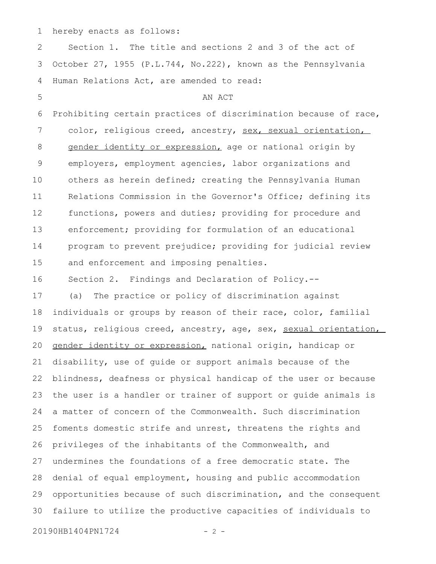hereby enacts as follows: 1

Section 1. The title and sections 2 and 3 of the act of October 27, 1955 (P.L.744, No.222), known as the Pennsylvania Human Relations Act, are amended to read: AN ACT Prohibiting certain practices of discrimination because of race, color, religious creed, ancestry, sex, sexual orientation, gender identity or expression, age or national origin by employers, employment agencies, labor organizations and others as herein defined; creating the Pennsylvania Human Relations Commission in the Governor's Office; defining its functions, powers and duties; providing for procedure and enforcement; providing for formulation of an educational program to prevent prejudice; providing for judicial review and enforcement and imposing penalties. Section 2. Findings and Declaration of Policy.-- (a) The practice or policy of discrimination against individuals or groups by reason of their race, color, familial status, religious creed, ancestry, age, sex, sexual orientation, gender identity or expression, national origin, handicap or disability, use of guide or support animals because of the blindness, deafness or physical handicap of the user or because the user is a handler or trainer of support or guide animals is a matter of concern of the Commonwealth. Such discrimination foments domestic strife and unrest, threatens the rights and privileges of the inhabitants of the Commonwealth, and undermines the foundations of a free democratic state. The denial of equal employment, housing and public accommodation opportunities because of such discrimination, and the consequent failure to utilize the productive capacities of individuals to 20190HB1404PN1724 - 2 -2 3 4 5 6 7 8 9 10 11 12 13 14 15 16 17 18 19 20 21 22 23 24 25 26 27 28 29 30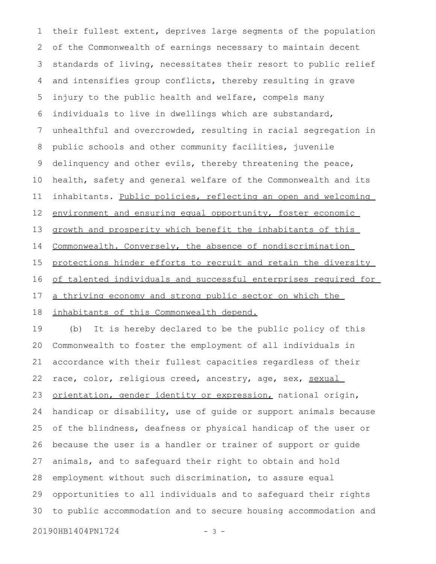their fullest extent, deprives large segments of the population of the Commonwealth of earnings necessary to maintain decent standards of living, necessitates their resort to public relief and intensifies group conflicts, thereby resulting in grave injury to the public health and welfare, compels many individuals to live in dwellings which are substandard, unhealthful and overcrowded, resulting in racial segregation in public schools and other community facilities, juvenile delinquency and other evils, thereby threatening the peace, health, safety and general welfare of the Commonwealth and its inhabitants. Public policies, reflecting an open and welcoming environment and ensuring equal opportunity, foster economic growth and prosperity which benefit the inhabitants of this Commonwealth. Conversely, the absence of nondiscrimination protections hinder efforts to recruit and retain the diversity of talented individuals and successful enterprises required for a thriving economy and strong public sector on which the inhabitants of this Commonwealth depend. 1 2 3 4 5 6 7 8 9 10 11 12 13 14 15 16 17 18

(b) It is hereby declared to be the public policy of this Commonwealth to foster the employment of all individuals in accordance with their fullest capacities regardless of their race, color, religious creed, ancestry, age, sex, sexual orientation, gender identity or expression, national origin, handicap or disability, use of guide or support animals because of the blindness, deafness or physical handicap of the user or because the user is a handler or trainer of support or guide animals, and to safeguard their right to obtain and hold employment without such discrimination, to assure equal opportunities to all individuals and to safeguard their rights to public accommodation and to secure housing accommodation and 19 20 21 22 23 24 25 26 27 28 29 30

20190HB1404PN1724 - 3 -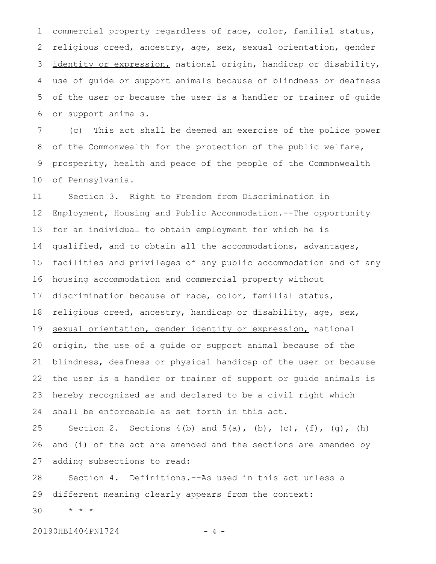commercial property regardless of race, color, familial status, religious creed, ancestry, age, sex, sexual orientation, gender identity or expression, national origin, handicap or disability, use of guide or support animals because of blindness or deafness of the user or because the user is a handler or trainer of guide or support animals. 1 2 3 4 5 6

(c) This act shall be deemed an exercise of the police power of the Commonwealth for the protection of the public welfare, prosperity, health and peace of the people of the Commonwealth of Pennsylvania. 7 8 9 10

Section 3. Right to Freedom from Discrimination in Employment, Housing and Public Accommodation.--The opportunity for an individual to obtain employment for which he is qualified, and to obtain all the accommodations, advantages, facilities and privileges of any public accommodation and of any housing accommodation and commercial property without discrimination because of race, color, familial status, religious creed, ancestry, handicap or disability, age, sex, sexual orientation, gender identity or expression, national origin, the use of a guide or support animal because of the blindness, deafness or physical handicap of the user or because the user is a handler or trainer of support or guide animals is hereby recognized as and declared to be a civil right which shall be enforceable as set forth in this act. 11 12 13 14 15 16 17 18 19 20 21 22 23 24

Section 2. Sections  $4(b)$  and  $5(a)$ ,  $(b)$ ,  $(c)$ ,  $(f)$ ,  $(g)$ ,  $(h)$ and (i) of the act are amended and the sections are amended by adding subsections to read: 25 26 27

Section 4. Definitions.--As used in this act unless a different meaning clearly appears from the context: 28 29

\* \* \* 30

20190HB1404PN1724 - 4 -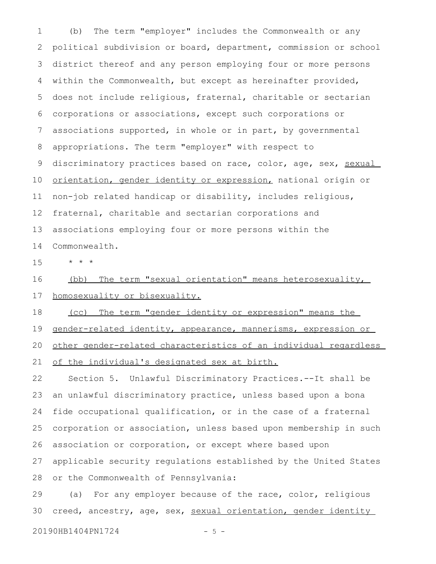(b) The term "employer" includes the Commonwealth or any political subdivision or board, department, commission or school district thereof and any person employing four or more persons within the Commonwealth, but except as hereinafter provided, does not include religious, fraternal, charitable or sectarian corporations or associations, except such corporations or associations supported, in whole or in part, by governmental appropriations. The term "employer" with respect to discriminatory practices based on race, color, age, sex, sexual orientation, gender identity or expression, national origin or non-job related handicap or disability, includes religious, fraternal, charitable and sectarian corporations and associations employing four or more persons within the Commonwealth. 1 2 3 4 5 6 7 8 9 10 11 12 13 14

\* \* \* 15

(bb) The term "sexual orientation" means heterosexuality, 16

homosexuality or bisexuality. 17

 (cc) The term "gender identity or expression" means the 18

gender-related identity, appearance, mannerisms, expression or 19

other gender-related characteristics of an individual regardless 20

of the individual's designated sex at birth. 21

Section 5. Unlawful Discriminatory Practices.--It shall be an unlawful discriminatory practice, unless based upon a bona fide occupational qualification, or in the case of a fraternal corporation or association, unless based upon membership in such association or corporation, or except where based upon applicable security regulations established by the United States or the Commonwealth of Pennsylvania: 22 23 24 25 26 27 28

(a) For any employer because of the race, color, religious creed, ancestry, age, sex, sexual orientation, gender identity 29 30

20190HB1404PN1724 - 5 -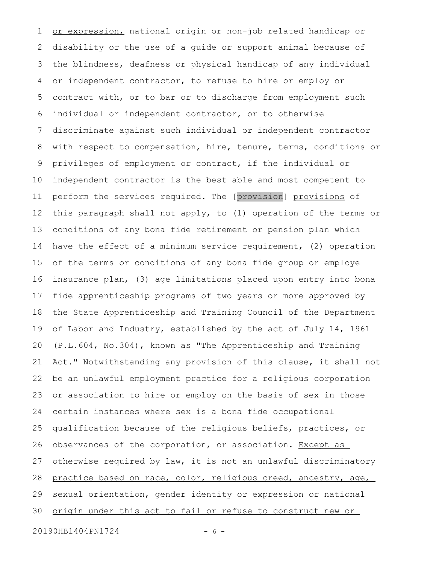or expression, national origin or non-job related handicap or disability or the use of a guide or support animal because of the blindness, deafness or physical handicap of any individual or independent contractor, to refuse to hire or employ or contract with, or to bar or to discharge from employment such individual or independent contractor, or to otherwise discriminate against such individual or independent contractor with respect to compensation, hire, tenure, terms, conditions or privileges of employment or contract, if the individual or independent contractor is the best able and most competent to perform the services required. The [provision] provisions of this paragraph shall not apply, to (1) operation of the terms or conditions of any bona fide retirement or pension plan which have the effect of a minimum service requirement, (2) operation of the terms or conditions of any bona fide group or employe insurance plan, (3) age limitations placed upon entry into bona fide apprenticeship programs of two years or more approved by the State Apprenticeship and Training Council of the Department of Labor and Industry, established by the act of July 14, 1961 (P.L.604, No.304), known as "The Apprenticeship and Training Act." Notwithstanding any provision of this clause, it shall not be an unlawful employment practice for a religious corporation or association to hire or employ on the basis of sex in those certain instances where sex is a bona fide occupational qualification because of the religious beliefs, practices, or observances of the corporation, or association. Except as otherwise required by law, it is not an unlawful discriminatory practice based on race, color, religious creed, ancestry, age, sexual orientation, gender identity or expression or national origin under this act to fail or refuse to construct new or 1 2 3 4 5 6 7 8 9 10 11 12 13 14 15 16 17 18 19 20 21 22 23 24 25 26 27 28 29 30

20190HB1404PN1724 - 6 -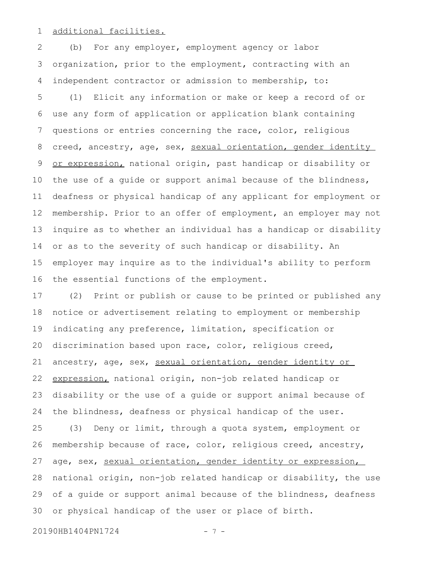additional facilities. 1

(b) For any employer, employment agency or labor organization, prior to the employment, contracting with an independent contractor or admission to membership, to: 2 3 4

(1) Elicit any information or make or keep a record of or use any form of application or application blank containing questions or entries concerning the race, color, religious creed, ancestry, age, sex, sexual orientation, gender identity or expression, national origin, past handicap or disability or the use of a guide or support animal because of the blindness, deafness or physical handicap of any applicant for employment or membership. Prior to an offer of employment, an employer may not inquire as to whether an individual has a handicap or disability or as to the severity of such handicap or disability. An employer may inquire as to the individual's ability to perform the essential functions of the employment. 5 6 7 8 9 10 11 12 13 14 15 16

(2) Print or publish or cause to be printed or published any notice or advertisement relating to employment or membership indicating any preference, limitation, specification or discrimination based upon race, color, religious creed, ancestry, age, sex, sexual orientation, gender identity or expression, national origin, non-job related handicap or disability or the use of a guide or support animal because of the blindness, deafness or physical handicap of the user. 17 18 19 20 21 22 23 24

(3) Deny or limit, through a quota system, employment or membership because of race, color, religious creed, ancestry, age, sex, sexual orientation, gender identity or expression, national origin, non-job related handicap or disability, the use of a guide or support animal because of the blindness, deafness or physical handicap of the user or place of birth. 25 26 27 28 29 30

20190HB1404PN1724 - 7 -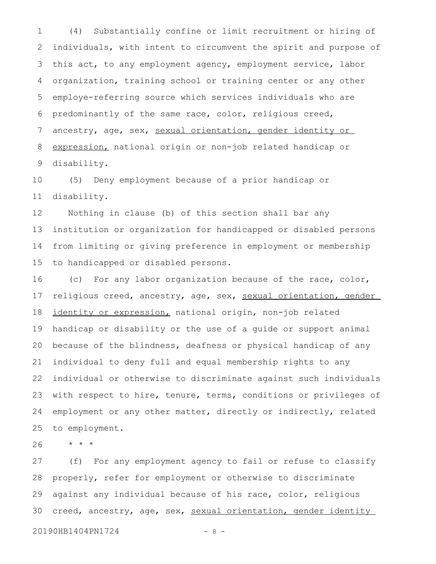(4) Substantially confine or limit recruitment or hiring of individuals, with intent to circumvent the spirit and purpose of this act, to any employment agency, employment service, labor organization, training school or training center or any other employe-referring source which services individuals who are predominantly of the same race, color, religious creed, ancestry, age, sex, sexual orientation, gender identity or expression, national origin or non-job related handicap or disability. 1 2 3 4 5 6 7 8 9

(5) Deny employment because of a prior handicap or disability. 10 11

Nothing in clause (b) of this section shall bar any institution or organization for handicapped or disabled persons from limiting or giving preference in employment or membership to handicapped or disabled persons. 12 13 14 15

(c) For any labor organization because of the race, color, religious creed, ancestry, age, sex, sexual orientation, gender identity or expression, national origin, non-job related handicap or disability or the use of a guide or support animal because of the blindness, deafness or physical handicap of any individual to deny full and equal membership rights to any individual or otherwise to discriminate against such individuals with respect to hire, tenure, terms, conditions or privileges of employment or any other matter, directly or indirectly, related to employment. 16 17 18 19 20 21 22 23 24 25

\* \* \* 26

(f) For any employment agency to fail or refuse to classify properly, refer for employment or otherwise to discriminate against any individual because of his race, color, religious creed, ancestry, age, sex, sexual orientation, gender identity 27 28 29 30

20190HB1404PN1724 - 8 -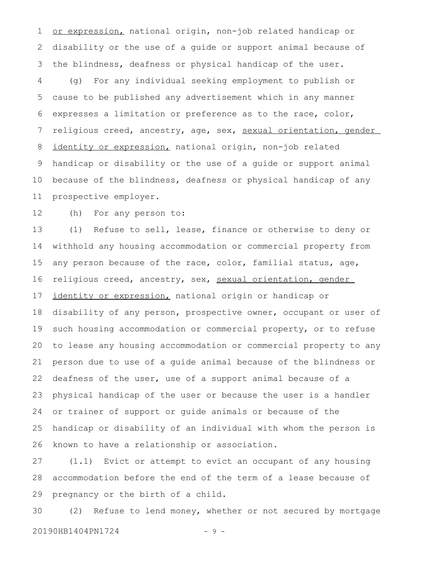or expression, national origin, non-job related handicap or disability or the use of a guide or support animal because of the blindness, deafness or physical handicap of the user. (g) For any individual seeking employment to publish or cause to be published any advertisement which in any manner expresses a limitation or preference as to the race, color, religious creed, ancestry, age, sex, sexual orientation, gender identity or expression, national origin, non-job related handicap or disability or the use of a guide or support animal because of the blindness, deafness or physical handicap of any prospective employer. 1 2 3 4 5 6 7 8 9 10 11

(h) For any person to: 12

(1) Refuse to sell, lease, finance or otherwise to deny or withhold any housing accommodation or commercial property from any person because of the race, color, familial status, age, religious creed, ancestry, sex, sexual orientation, gender identity or expression, national origin or handicap or disability of any person, prospective owner, occupant or user of such housing accommodation or commercial property, or to refuse to lease any housing accommodation or commercial property to any person due to use of a guide animal because of the blindness or deafness of the user, use of a support animal because of a physical handicap of the user or because the user is a handler or trainer of support or guide animals or because of the handicap or disability of an individual with whom the person is known to have a relationship or association. 13 14 15 16 17 18 19 20 21 22 23 24 25 26

(1.1) Evict or attempt to evict an occupant of any housing accommodation before the end of the term of a lease because of pregnancy or the birth of a child. 27 28 29

(2) Refuse to lend money, whether or not secured by mortgage 20190HB1404PN1724 - 9 -30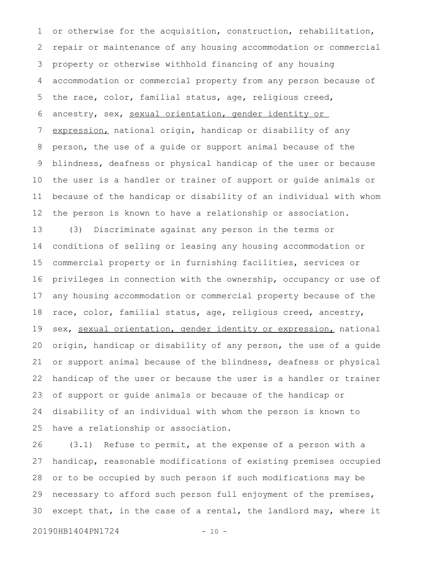or otherwise for the acquisition, construction, rehabilitation, repair or maintenance of any housing accommodation or commercial property or otherwise withhold financing of any housing accommodation or commercial property from any person because of the race, color, familial status, age, religious creed, ancestry, sex, sexual orientation, gender identity or expression, national origin, handicap or disability of any person, the use of a guide or support animal because of the blindness, deafness or physical handicap of the user or because the user is a handler or trainer of support or guide animals or because of the handicap or disability of an individual with whom the person is known to have a relationship or association. 1 2 3 4 5 6 7 8 9 10 11 12

(3) Discriminate against any person in the terms or conditions of selling or leasing any housing accommodation or commercial property or in furnishing facilities, services or privileges in connection with the ownership, occupancy or use of any housing accommodation or commercial property because of the race, color, familial status, age, religious creed, ancestry, sex, sexual orientation, gender identity or expression, national origin, handicap or disability of any person, the use of a guide or support animal because of the blindness, deafness or physical handicap of the user or because the user is a handler or trainer of support or guide animals or because of the handicap or disability of an individual with whom the person is known to have a relationship or association. 13 14 15 16 17 18 19 20 21 22 23 24 25

(3.1) Refuse to permit, at the expense of a person with a handicap, reasonable modifications of existing premises occupied or to be occupied by such person if such modifications may be necessary to afford such person full enjoyment of the premises, except that, in the case of a rental, the landlord may, where it 26 27 28 29 30

20190HB1404PN1724 - 10 -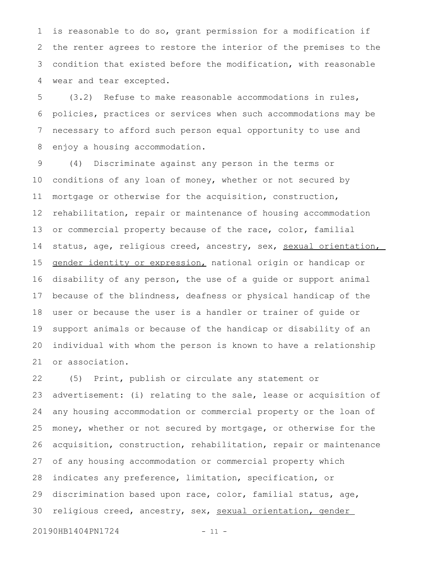is reasonable to do so, grant permission for a modification if the renter agrees to restore the interior of the premises to the condition that existed before the modification, with reasonable wear and tear excepted. 1 2 3 4

(3.2) Refuse to make reasonable accommodations in rules, policies, practices or services when such accommodations may be necessary to afford such person equal opportunity to use and enjoy a housing accommodation. 5 6 7 8

(4) Discriminate against any person in the terms or conditions of any loan of money, whether or not secured by mortgage or otherwise for the acquisition, construction, rehabilitation, repair or maintenance of housing accommodation or commercial property because of the race, color, familial status, age, religious creed, ancestry, sex, sexual orientation, gender identity or expression, national origin or handicap or disability of any person, the use of a guide or support animal because of the blindness, deafness or physical handicap of the user or because the user is a handler or trainer of guide or support animals or because of the handicap or disability of an individual with whom the person is known to have a relationship or association. 9 10 11 12 13 14 15 16 17 18 19 20 21

(5) Print, publish or circulate any statement or advertisement: (i) relating to the sale, lease or acquisition of any housing accommodation or commercial property or the loan of money, whether or not secured by mortgage, or otherwise for the acquisition, construction, rehabilitation, repair or maintenance of any housing accommodation or commercial property which indicates any preference, limitation, specification, or discrimination based upon race, color, familial status, age, religious creed, ancestry, sex, sexual orientation, gender 22 23 24 25 26 27 28 29 30

20190HB1404PN1724 - 11 -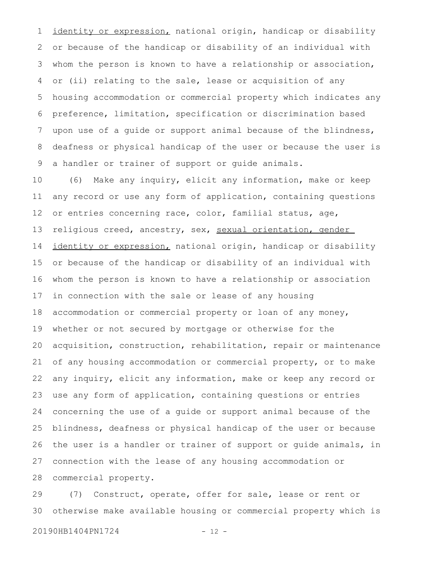identity or expression, national origin, handicap or disability or because of the handicap or disability of an individual with whom the person is known to have a relationship or association, or (ii) relating to the sale, lease or acquisition of any housing accommodation or commercial property which indicates any preference, limitation, specification or discrimination based upon use of a guide or support animal because of the blindness, deafness or physical handicap of the user or because the user is a handler or trainer of support or guide animals. 1 2 3 4 5 6 7 8 9

(6) Make any inquiry, elicit any information, make or keep any record or use any form of application, containing questions or entries concerning race, color, familial status, age, religious creed, ancestry, sex, sexual orientation, gender identity or expression, national origin, handicap or disability or because of the handicap or disability of an individual with whom the person is known to have a relationship or association in connection with the sale or lease of any housing accommodation or commercial property or loan of any money, whether or not secured by mortgage or otherwise for the acquisition, construction, rehabilitation, repair or maintenance of any housing accommodation or commercial property, or to make any inquiry, elicit any information, make or keep any record or use any form of application, containing questions or entries concerning the use of a guide or support animal because of the blindness, deafness or physical handicap of the user or because the user is a handler or trainer of support or guide animals, in connection with the lease of any housing accommodation or commercial property. 10 11 12 13 14 15 16 17 18 19 20 21 22 23 24 25 26 27 28

(7) Construct, operate, offer for sale, lease or rent or otherwise make available housing or commercial property which is 29 30

20190HB1404PN1724 - 12 -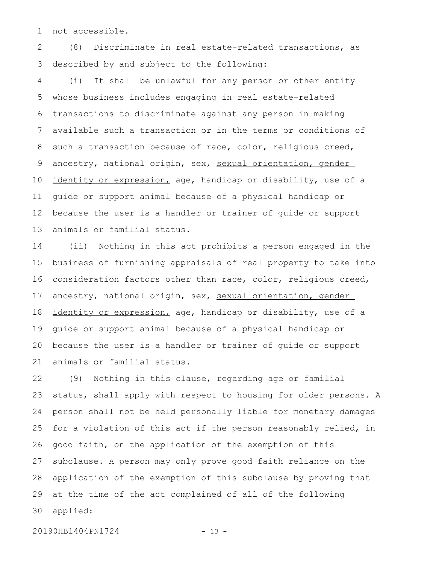not accessible. 1

(8) Discriminate in real estate-related transactions, as described by and subject to the following: 2 3

(i) It shall be unlawful for any person or other entity whose business includes engaging in real estate-related transactions to discriminate against any person in making available such a transaction or in the terms or conditions of such a transaction because of race, color, religious creed, ancestry, national origin, sex, sexual orientation, gender identity or expression, age, handicap or disability, use of a guide or support animal because of a physical handicap or because the user is a handler or trainer of guide or support animals or familial status. 4 5 6 7 8 9 10 11 12 13

(ii) Nothing in this act prohibits a person engaged in the business of furnishing appraisals of real property to take into consideration factors other than race, color, religious creed, ancestry, national origin, sex, sexual orientation, gender identity or expression, age, handicap or disability, use of a guide or support animal because of a physical handicap or because the user is a handler or trainer of guide or support animals or familial status. 14 15 16 17 18 19 20 21

(9) Nothing in this clause, regarding age or familial status, shall apply with respect to housing for older persons. A person shall not be held personally liable for monetary damages for a violation of this act if the person reasonably relied, in good faith, on the application of the exemption of this subclause. A person may only prove good faith reliance on the application of the exemption of this subclause by proving that at the time of the act complained of all of the following applied: 22 23 24 25 26 27 28 29 30

20190HB1404PN1724 - 13 -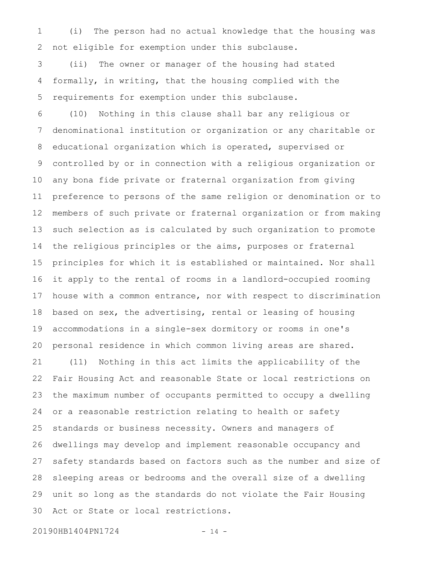(i) The person had no actual knowledge that the housing was not eligible for exemption under this subclause. 1 2

(ii) The owner or manager of the housing had stated formally, in writing, that the housing complied with the requirements for exemption under this subclause. 3 4 5

(10) Nothing in this clause shall bar any religious or denominational institution or organization or any charitable or educational organization which is operated, supervised or controlled by or in connection with a religious organization or any bona fide private or fraternal organization from giving preference to persons of the same religion or denomination or to members of such private or fraternal organization or from making such selection as is calculated by such organization to promote the religious principles or the aims, purposes or fraternal principles for which it is established or maintained. Nor shall it apply to the rental of rooms in a landlord-occupied rooming house with a common entrance, nor with respect to discrimination based on sex, the advertising, rental or leasing of housing accommodations in a single-sex dormitory or rooms in one's personal residence in which common living areas are shared. (11) Nothing in this act limits the applicability of the Fair Housing Act and reasonable State or local restrictions on the maximum number of occupants permitted to occupy a dwelling or a reasonable restriction relating to health or safety standards or business necessity. Owners and managers of dwellings may develop and implement reasonable occupancy and safety standards based on factors such as the number and size of sleeping areas or bedrooms and the overall size of a dwelling unit so long as the standards do not violate the Fair Housing Act or State or local restrictions. 6 7 8 9 10 11 12 13 14 15 16 17 18 19 20 21 22 23 24 25 26 27 28 29 30

20190HB1404PN1724 - 14 -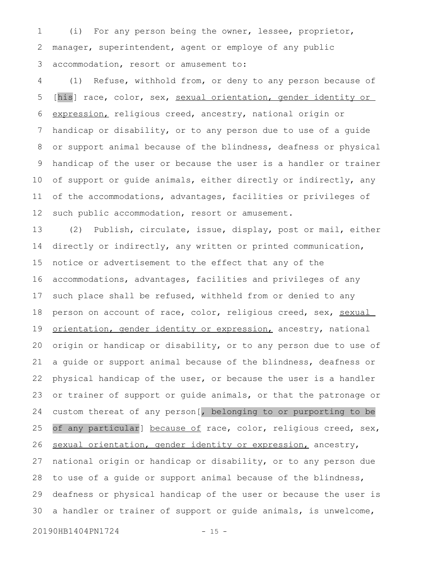(i) For any person being the owner, lessee, proprietor, manager, superintendent, agent or employe of any public accommodation, resort or amusement to: 1 2 3

(1) Refuse, withhold from, or deny to any person because of [his] race, color, sex, sexual orientation, gender identity or expression, religious creed, ancestry, national origin or handicap or disability, or to any person due to use of a guide or support animal because of the blindness, deafness or physical handicap of the user or because the user is a handler or trainer of support or guide animals, either directly or indirectly, any of the accommodations, advantages, facilities or privileges of such public accommodation, resort or amusement. 4 5 6 7 8 9 10 11 12

(2) Publish, circulate, issue, display, post or mail, either directly or indirectly, any written or printed communication, notice or advertisement to the effect that any of the accommodations, advantages, facilities and privileges of any such place shall be refused, withheld from or denied to any person on account of race, color, religious creed, sex, sexual orientation, gender identity or expression, ancestry, national origin or handicap or disability, or to any person due to use of a guide or support animal because of the blindness, deafness or physical handicap of the user, or because the user is a handler or trainer of support or guide animals, or that the patronage or custom thereat of any person[, belonging to or purporting to be of any particular] because of race, color, religious creed, sex, sexual orientation, gender identity or expression, ancestry, national origin or handicap or disability, or to any person due to use of a guide or support animal because of the blindness, deafness or physical handicap of the user or because the user is a handler or trainer of support or guide animals, is unwelcome, 13 14 15 16 17 18 19 20 21 22 23 24 25 26 27 28 29 30

20190HB1404PN1724 - 15 -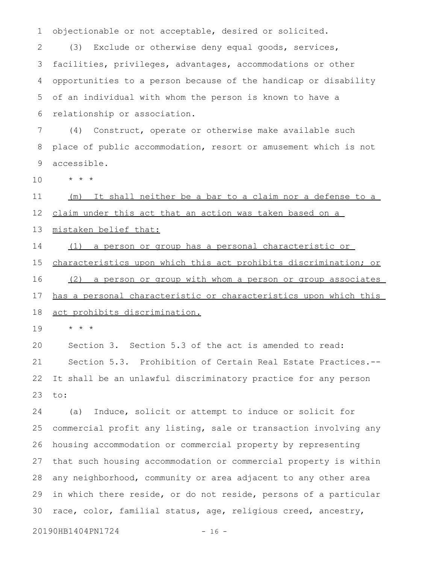objectionable or not acceptable, desired or solicited. 1

(3) Exclude or otherwise deny equal goods, services, facilities, privileges, advantages, accommodations or other opportunities to a person because of the handicap or disability of an individual with whom the person is known to have a relationship or association. 2 3 4 5 6

(4) Construct, operate or otherwise make available such place of public accommodation, resort or amusement which is not accessible. 7 8 9

\* \* \* 10

(m) It shall neither be a bar to a claim nor a defense to a 11

claim under this act that an action was taken based on a 12

mistaken belief that: 13

(1) a person or group has a personal characteristic or 14

characteristics upon which this act prohibits discrimination; or (2) a person or group with whom a person or group associates has a personal characteristic or characteristics upon which this act prohibits discrimination. 15 16 17 18

\* \* \* 19

Section 3. Section 5.3 of the act is amended to read: Section 5.3. Prohibition of Certain Real Estate Practices.-- It shall be an unlawful discriminatory practice for any person to: 20 21 22 23

(a) Induce, solicit or attempt to induce or solicit for commercial profit any listing, sale or transaction involving any housing accommodation or commercial property by representing that such housing accommodation or commercial property is within any neighborhood, community or area adjacent to any other area in which there reside, or do not reside, persons of a particular race, color, familial status, age, religious creed, ancestry, 24 25 26 27 28 29 30

20190HB1404PN1724 - 16 -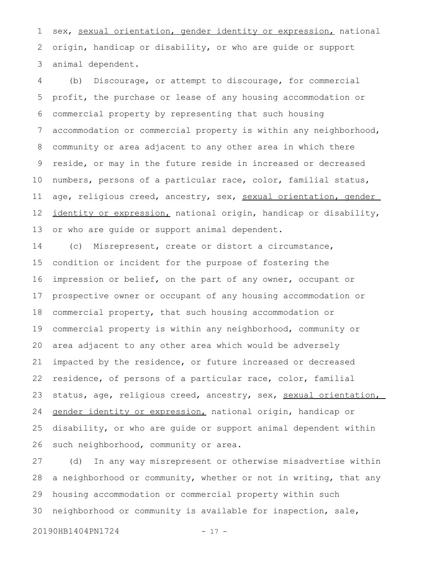sex, sexual orientation, gender identity or expression, national origin, handicap or disability, or who are guide or support animal dependent. 1 2 3

(b) Discourage, or attempt to discourage, for commercial profit, the purchase or lease of any housing accommodation or commercial property by representing that such housing accommodation or commercial property is within any neighborhood, community or area adjacent to any other area in which there reside, or may in the future reside in increased or decreased numbers, persons of a particular race, color, familial status, age, religious creed, ancestry, sex, sexual orientation, gender identity or expression, national origin, handicap or disability, or who are guide or support animal dependent. 4 5 6 7 8 9 10 11 12 13

(c) Misrepresent, create or distort a circumstance, condition or incident for the purpose of fostering the impression or belief, on the part of any owner, occupant or prospective owner or occupant of any housing accommodation or commercial property, that such housing accommodation or commercial property is within any neighborhood, community or area adjacent to any other area which would be adversely impacted by the residence, or future increased or decreased residence, of persons of a particular race, color, familial status, age, religious creed, ancestry, sex, sexual orientation, gender identity or expression, national origin, handicap or disability, or who are guide or support animal dependent within such neighborhood, community or area. 14 15 16 17 18 19 20 21 22 23 24 25 26

(d) In any way misrepresent or otherwise misadvertise within a neighborhood or community, whether or not in writing, that any housing accommodation or commercial property within such neighborhood or community is available for inspection, sale, 27 28 29 30

20190HB1404PN1724 - 17 -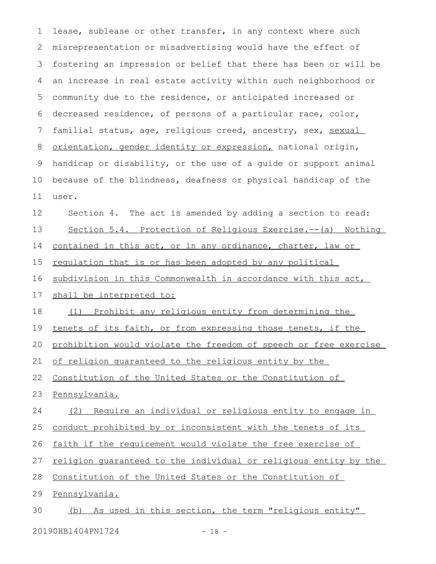lease, sublease or other transfer, in any context where such misrepresentation or misadvertising would have the effect of fostering an impression or belief that there has been or will be an increase in real estate activity within such neighborhood or community due to the residence, or anticipated increased or decreased residence, of persons of a particular race, color, familial status, age, religious creed, ancestry, sex, sexual orientation, gender identity or expression, national origin, handicap or disability, or the use of a guide or support animal because of the blindness, deafness or physical handicap of the user. Section 4. The act is amended by adding a section to read: Section 5.4. Protection of Religious Exercise.--(a) Nothing contained in this act, or in any ordinance, charter, law or regulation that is or has been adopted by any political subdivision in this Commonwealth in accordance with this act, shall be interpreted to: (1) Prohibit any religious entity from determining the tenets of its faith, or from expressing those tenets, if the 1 2 3 4 5 6 7 8 9 10 11 12 13 14 15 16 17 18 19

prohibition would violate the freedom of speech or free exercise 20

of religion guaranteed to the religious entity by the 21

Constitution of the United States or the Constitution of 22

Pennsylvania. 23

(2) Require an individual or religious entity to engage in 24

conduct prohibited by or inconsistent with the tenets of its 25

faith if the requirement would violate the free exercise of 26

religion guaranteed to the individual or religious entity by the 27

Constitution of the United States or the Constitution of 28

Pennsylvania. 29

(b) As used in this section, the term "religious entity" 30

20190HB1404PN1724 - 18 -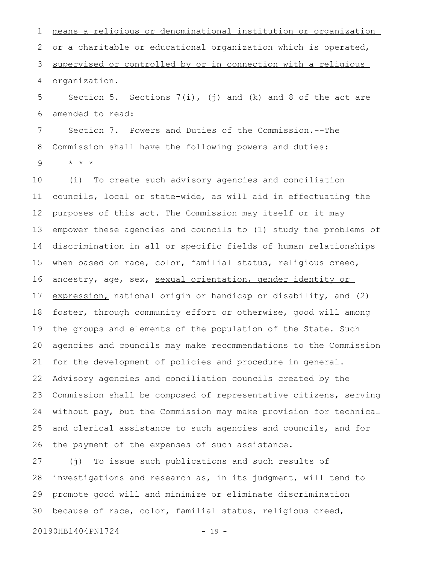means a religious or denominational institution or organization or a charitable or educational organization which is operated, supervised or controlled by or in connection with a religious organization. 1 2 3 4

Section 5. Sections  $7(i)$ , (j) and (k) and 8 of the act are amended to read: 5 6

Section 7. Powers and Duties of the Commission.--The Commission shall have the following powers and duties: \* \* \* 7 8 9

(i) To create such advisory agencies and conciliation councils, local or state-wide, as will aid in effectuating the purposes of this act. The Commission may itself or it may empower these agencies and councils to (1) study the problems of discrimination in all or specific fields of human relationships when based on race, color, familial status, religious creed, ancestry, age, sex, sexual orientation, gender identity or expression, national origin or handicap or disability, and (2) foster, through community effort or otherwise, good will among the groups and elements of the population of the State. Such agencies and councils may make recommendations to the Commission for the development of policies and procedure in general. Advisory agencies and conciliation councils created by the Commission shall be composed of representative citizens, serving without pay, but the Commission may make provision for technical and clerical assistance to such agencies and councils, and for the payment of the expenses of such assistance. 10 11 12 13 14 15 16 17 18 19 20 21 22 23 24 25 26

(j) To issue such publications and such results of investigations and research as, in its judgment, will tend to promote good will and minimize or eliminate discrimination because of race, color, familial status, religious creed, 27 28 29 30

20190HB1404PN1724 - 19 -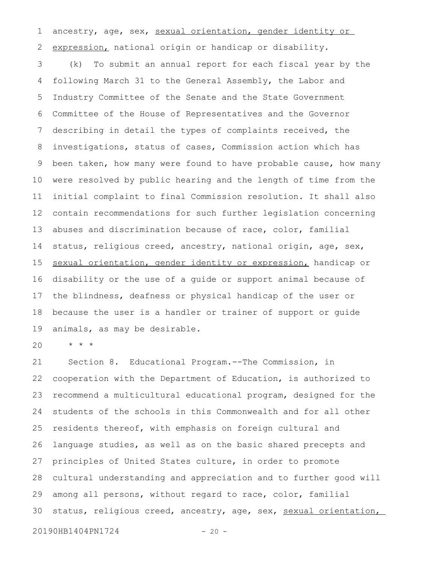ancestry, age, sex, sexual orientation, gender identity or expression, national origin or handicap or disability. 1 2

(k) To submit an annual report for each fiscal year by the following March 31 to the General Assembly, the Labor and Industry Committee of the Senate and the State Government Committee of the House of Representatives and the Governor describing in detail the types of complaints received, the investigations, status of cases, Commission action which has been taken, how many were found to have probable cause, how many were resolved by public hearing and the length of time from the initial complaint to final Commission resolution. It shall also contain recommendations for such further legislation concerning abuses and discrimination because of race, color, familial status, religious creed, ancestry, national origin, age, sex, sexual orientation, gender identity or expression, handicap or disability or the use of a guide or support animal because of the blindness, deafness or physical handicap of the user or because the user is a handler or trainer of support or guide animals, as may be desirable. 3 4 5 6 7 8 9 10 11 12 13 14 15 16 17 18 19

\* \* \* 20

Section 8. Educational Program.--The Commission, in cooperation with the Department of Education, is authorized to recommend a multicultural educational program, designed for the students of the schools in this Commonwealth and for all other residents thereof, with emphasis on foreign cultural and language studies, as well as on the basic shared precepts and principles of United States culture, in order to promote cultural understanding and appreciation and to further good will among all persons, without regard to race, color, familial status, religious creed, ancestry, age, sex, sexual orientation, 21 22 23 24 25 26 27 28 29 30

20190HB1404PN1724 - 20 -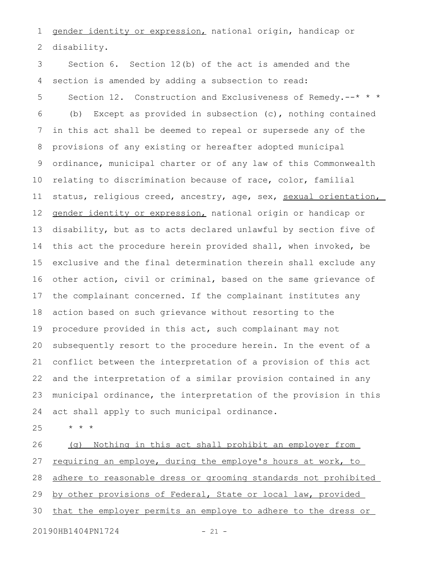gender identity or expression, national origin, handicap or disability. 1 2

Section 6. Section 12(b) of the act is amended and the section is amended by adding a subsection to read: Section 12. Construction and Exclusiveness of Remedy.--\* \* \* (b) Except as provided in subsection (c), nothing contained in this act shall be deemed to repeal or supersede any of the provisions of any existing or hereafter adopted municipal ordinance, municipal charter or of any law of this Commonwealth relating to discrimination because of race, color, familial status, religious creed, ancestry, age, sex, sexual orientation, gender identity or expression, national origin or handicap or disability, but as to acts declared unlawful by section five of this act the procedure herein provided shall, when invoked, be exclusive and the final determination therein shall exclude any other action, civil or criminal, based on the same grievance of the complainant concerned. If the complainant institutes any action based on such grievance without resorting to the procedure provided in this act, such complainant may not subsequently resort to the procedure herein. In the event of a conflict between the interpretation of a provision of this act and the interpretation of a similar provision contained in any municipal ordinance, the interpretation of the provision in this act shall apply to such municipal ordinance. 3 4 5 6 7 8 9 10 11 12 13 14 15 16 17 18 19 20 21 22 23 24

25

(g) Nothing in this act shall prohibit an employer from requiring an employe, during the employe's hours at work, to adhere to reasonable dress or grooming standards not prohibited by other provisions of Federal, State or local law, provided that the employer permits an employe to adhere to the dress or 26 27 28 29 30

20190HB1404PN1724 - 21 -

\* \* \*